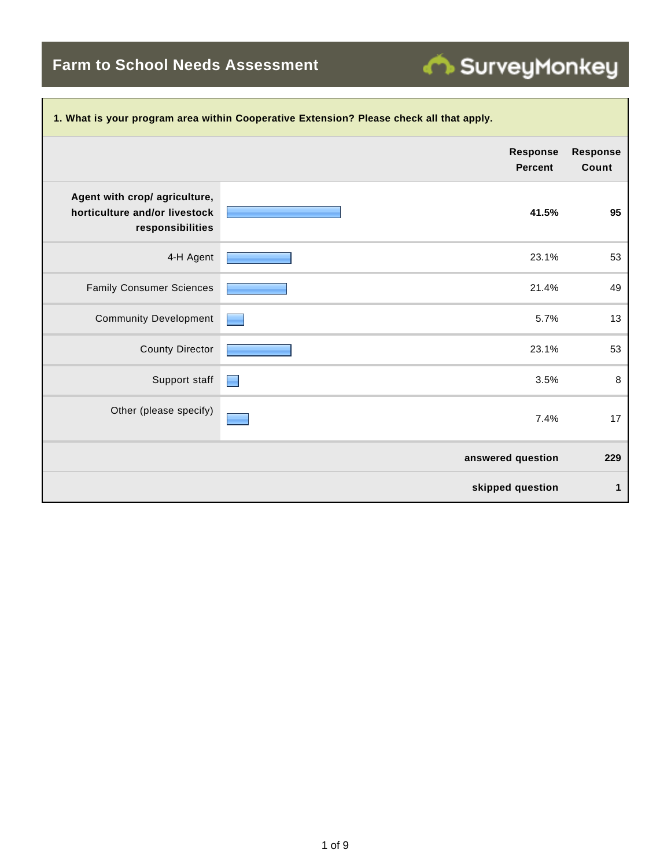**Farm to School Needs Assessment**

| 1. What is your program area within Cooperative Extension? Please check all that apply. |                                   |                          |  |  |  |
|-----------------------------------------------------------------------------------------|-----------------------------------|--------------------------|--|--|--|
|                                                                                         | <b>Response</b><br><b>Percent</b> | <b>Response</b><br>Count |  |  |  |
| Agent with crop/ agriculture,<br>horticulture and/or livestock<br>responsibilities      | 41.5%                             | 95                       |  |  |  |
| 4-H Agent                                                                               | 23.1%                             | 53                       |  |  |  |
| <b>Family Consumer Sciences</b>                                                         | 21.4%                             | 49                       |  |  |  |
| <b>Community Development</b>                                                            | 5.7%                              | 13                       |  |  |  |
| <b>County Director</b>                                                                  | 23.1%                             | 53                       |  |  |  |
| Support staff                                                                           | 3.5%                              | $\,8\,$                  |  |  |  |
| Other (please specify)                                                                  | 7.4%                              | 17                       |  |  |  |
|                                                                                         | answered question                 | 229                      |  |  |  |
|                                                                                         | skipped question                  | 1                        |  |  |  |

SurveyMonkey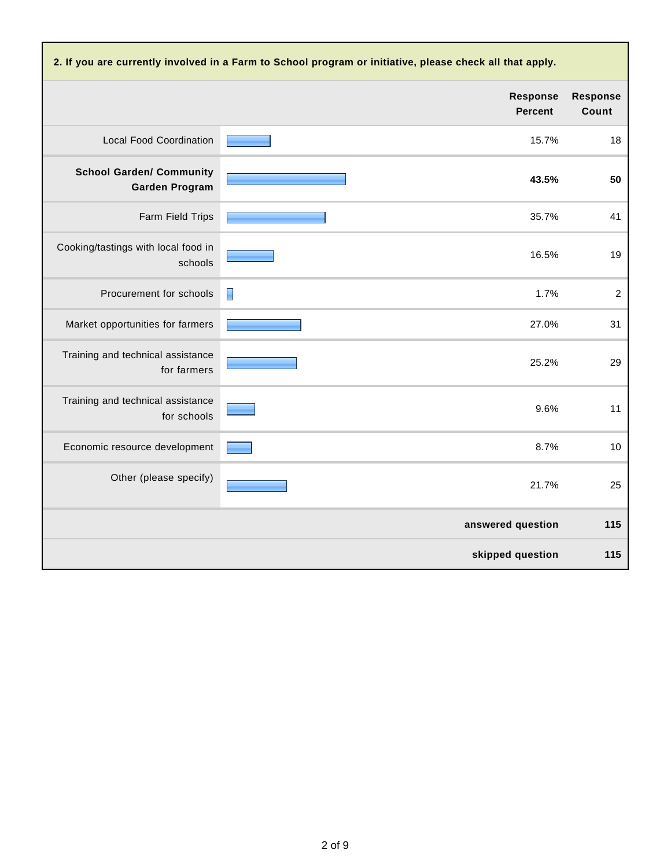| 2. If you are currently involved in a Farm to School program or initiative, please check all that apply. |                                   |                          |  |  |
|----------------------------------------------------------------------------------------------------------|-----------------------------------|--------------------------|--|--|
|                                                                                                          | <b>Response</b><br><b>Percent</b> | <b>Response</b><br>Count |  |  |
| <b>Local Food Coordination</b>                                                                           | 15.7%                             | 18                       |  |  |
| <b>School Garden/ Community</b><br><b>Garden Program</b>                                                 | 43.5%                             | 50                       |  |  |
| Farm Field Trips                                                                                         | 35.7%                             | 41                       |  |  |
| Cooking/tastings with local food in<br>schools                                                           | 16.5%                             | 19                       |  |  |
| Procurement for schools                                                                                  | 1.7%<br>▉                         | $\boldsymbol{2}$         |  |  |
| Market opportunities for farmers                                                                         | 27.0%                             | 31                       |  |  |
| Training and technical assistance<br>for farmers                                                         | 25.2%                             | 29                       |  |  |
| Training and technical assistance<br>for schools                                                         | 9.6%                              | 11                       |  |  |
| Economic resource development                                                                            | 8.7%                              | 10                       |  |  |
| Other (please specify)                                                                                   | 21.7%                             | 25                       |  |  |
|                                                                                                          | answered question                 | 115                      |  |  |
|                                                                                                          | skipped question                  | 115                      |  |  |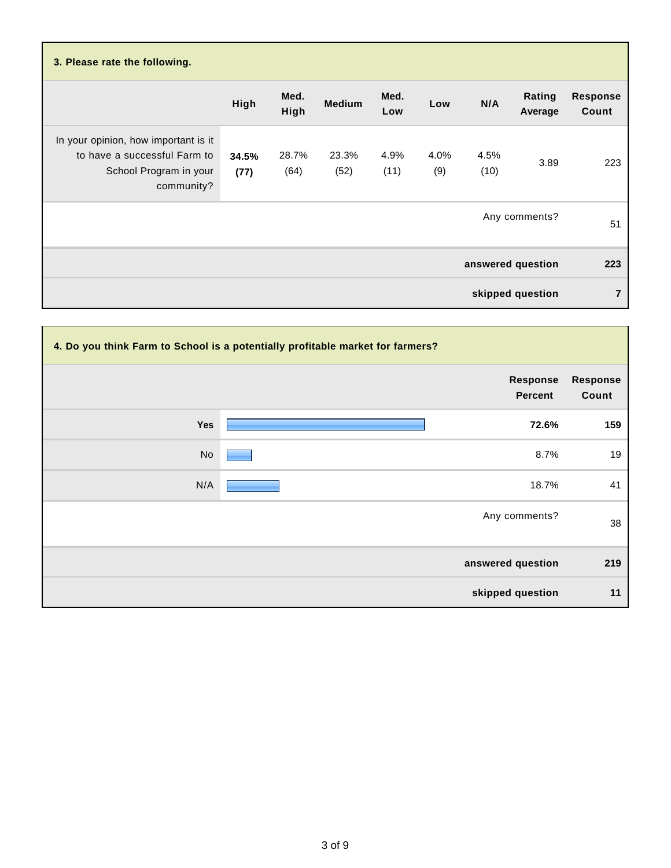| 3. Please rate the following.                                                                                |               |               |               |              |             |              |                   |                          |
|--------------------------------------------------------------------------------------------------------------|---------------|---------------|---------------|--------------|-------------|--------------|-------------------|--------------------------|
|                                                                                                              | High          | Med.<br>High  | <b>Medium</b> | Med.<br>Low  | Low         | N/A          | Rating<br>Average | <b>Response</b><br>Count |
| In your opinion, how important is it<br>to have a successful Farm to<br>School Program in your<br>community? | 34.5%<br>(77) | 28.7%<br>(64) | 23.3%<br>(52) | 4.9%<br>(11) | 4.0%<br>(9) | 4.5%<br>(10) | 3.89              | 223                      |
|                                                                                                              |               |               |               |              |             |              | Any comments?     | 51                       |
|                                                                                                              |               |               |               |              |             |              | answered question | 223                      |
|                                                                                                              |               |               |               |              |             |              | skipped question  | 7                        |

| 4. Do you think Farm to School is a potentially profitable market for farmers? |                            |                          |  |  |
|--------------------------------------------------------------------------------|----------------------------|--------------------------|--|--|
|                                                                                | Response<br><b>Percent</b> | <b>Response</b><br>Count |  |  |
| Yes                                                                            | 72.6%                      | 159                      |  |  |
| No                                                                             | 8.7%                       | 19                       |  |  |
| N/A                                                                            | 18.7%                      | 41                       |  |  |
|                                                                                | Any comments?              | 38                       |  |  |
|                                                                                | answered question          | 219                      |  |  |
|                                                                                | skipped question           | 11                       |  |  |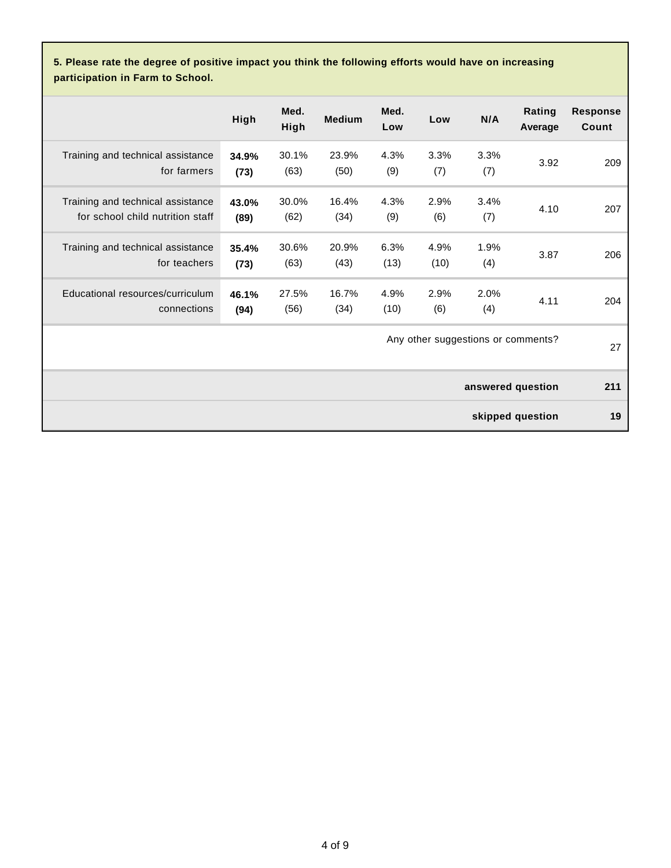**5. Please rate the degree of positive impact you think the following efforts would have on increasing participation in Farm to School.**

|                                                                       | High          | Med.<br>High  | <b>Medium</b> | Med.<br>Low  | Low          | N/A         | Rating<br>Average                  | <b>Response</b><br>Count |
|-----------------------------------------------------------------------|---------------|---------------|---------------|--------------|--------------|-------------|------------------------------------|--------------------------|
| Training and technical assistance<br>for farmers                      | 34.9%<br>(73) | 30.1%<br>(63) | 23.9%<br>(50) | 4.3%<br>(9)  | 3.3%<br>(7)  | 3.3%<br>(7) | 3.92                               | 209                      |
| Training and technical assistance<br>for school child nutrition staff | 43.0%<br>(89) | 30.0%<br>(62) | 16.4%<br>(34) | 4.3%<br>(9)  | 2.9%<br>(6)  | 3.4%<br>(7) | 4.10                               | 207                      |
| Training and technical assistance<br>for teachers                     | 35.4%<br>(73) | 30.6%<br>(63) | 20.9%<br>(43) | 6.3%<br>(13) | 4.9%<br>(10) | 1.9%<br>(4) | 3.87                               | 206                      |
| Educational resources/curriculum<br>connections                       | 46.1%<br>(94) | 27.5%<br>(56) | 16.7%<br>(34) | 4.9%<br>(10) | 2.9%<br>(6)  | 2.0%<br>(4) | 4.11                               | 204                      |
|                                                                       |               |               |               |              |              |             | Any other suggestions or comments? | 27                       |
|                                                                       |               |               |               |              |              |             | answered question                  | 211                      |
|                                                                       |               |               |               |              |              |             | skipped question                   | 19                       |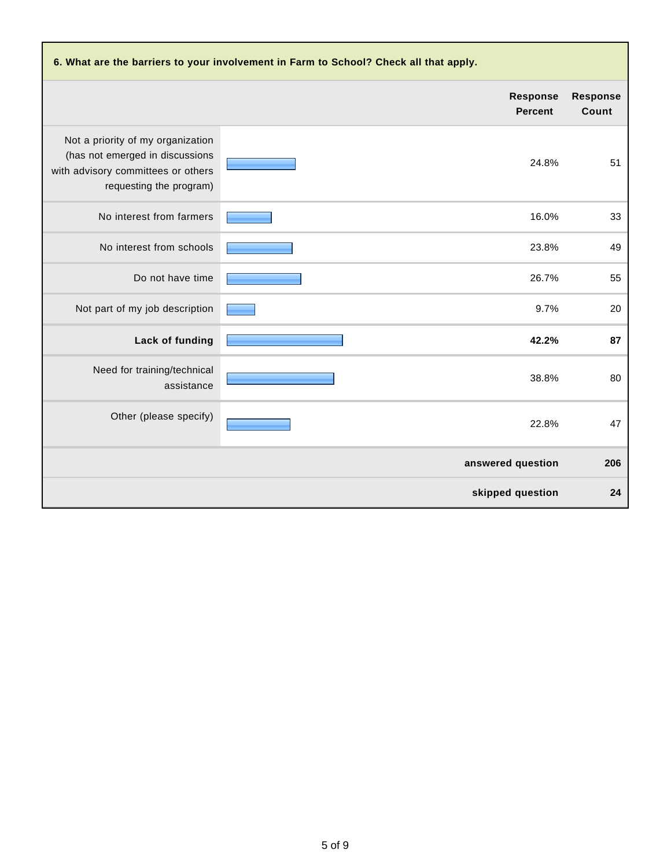| 6. What are the barriers to your involvement in Farm to School? Check all that apply.                                                 |                                   |                          |  |  |
|---------------------------------------------------------------------------------------------------------------------------------------|-----------------------------------|--------------------------|--|--|
|                                                                                                                                       | <b>Response</b><br><b>Percent</b> | <b>Response</b><br>Count |  |  |
| Not a priority of my organization<br>(has not emerged in discussions<br>with advisory committees or others<br>requesting the program) | 24.8%                             | 51                       |  |  |
| No interest from farmers                                                                                                              | 16.0%                             | 33                       |  |  |
| No interest from schools                                                                                                              | 23.8%                             | 49                       |  |  |
| Do not have time                                                                                                                      | 26.7%                             | 55                       |  |  |
| Not part of my job description                                                                                                        | 9.7%                              | 20                       |  |  |
| Lack of funding                                                                                                                       | 42.2%                             | 87                       |  |  |
| Need for training/technical<br>assistance                                                                                             | 38.8%                             | 80                       |  |  |
| Other (please specify)                                                                                                                | 22.8%                             | 47                       |  |  |
|                                                                                                                                       | answered question                 | 206                      |  |  |
|                                                                                                                                       | skipped question                  | 24                       |  |  |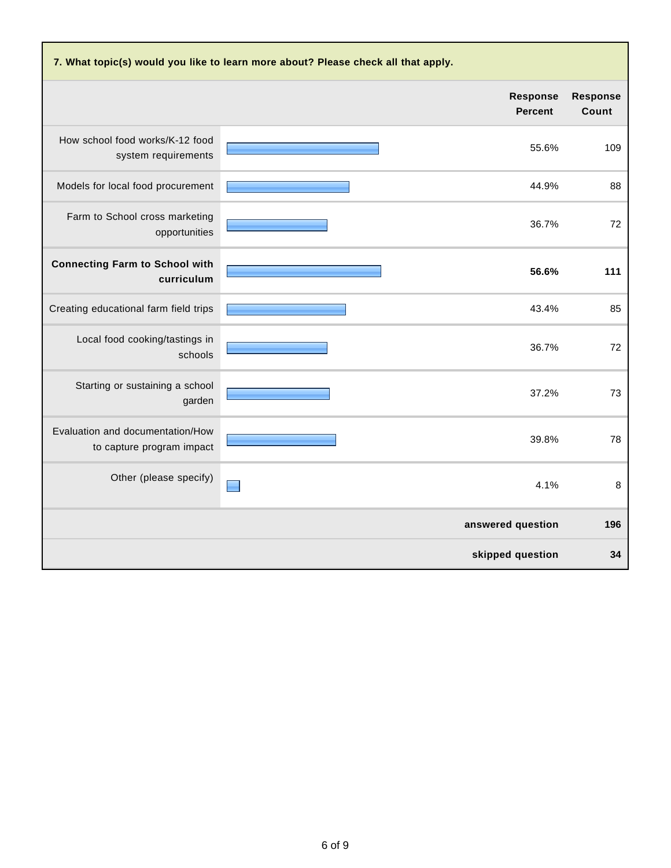| 7. What topic(s) would you like to learn more about? Please check all that apply. |                                   |                          |  |  |  |
|-----------------------------------------------------------------------------------|-----------------------------------|--------------------------|--|--|--|
|                                                                                   | <b>Response</b><br><b>Percent</b> | <b>Response</b><br>Count |  |  |  |
| How school food works/K-12 food<br>system requirements                            | 55.6%                             | 109                      |  |  |  |
| Models for local food procurement                                                 | 44.9%                             | 88                       |  |  |  |
| Farm to School cross marketing<br>opportunities                                   | 36.7%                             | 72                       |  |  |  |
| <b>Connecting Farm to School with</b><br>curriculum                               | 56.6%                             | 111                      |  |  |  |
| Creating educational farm field trips                                             | 43.4%                             | 85                       |  |  |  |
| Local food cooking/tastings in<br>schools                                         | 36.7%                             | 72                       |  |  |  |
| Starting or sustaining a school<br>garden                                         | 37.2%                             | 73                       |  |  |  |
| Evaluation and documentation/How<br>to capture program impact                     | 39.8%                             | 78                       |  |  |  |
| Other (please specify)                                                            | 4.1%                              | 8                        |  |  |  |
|                                                                                   | answered question                 | 196                      |  |  |  |
|                                                                                   | skipped question                  | 34                       |  |  |  |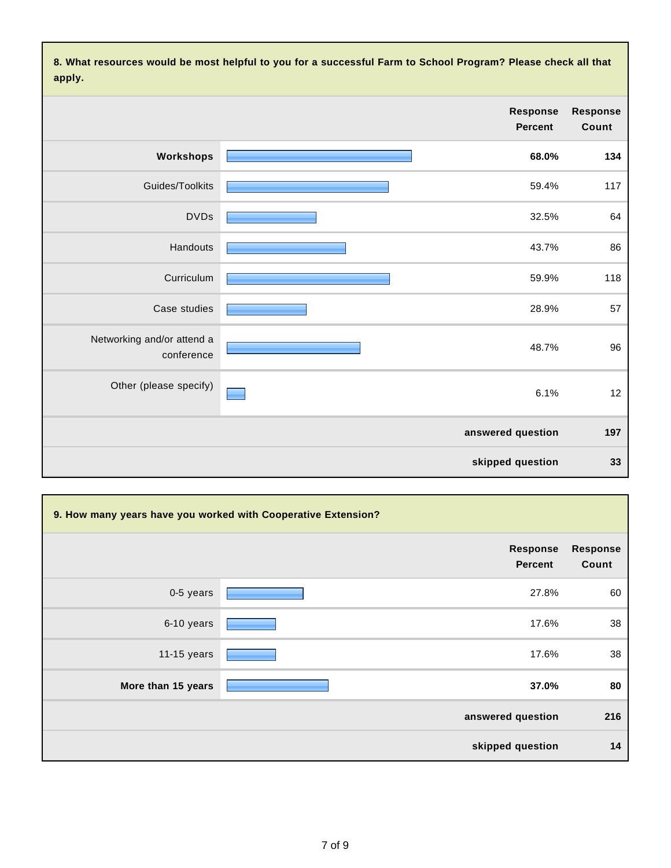**8. What resources would be most helpful to you for a successful Farm to School Program? Please check all that apply.**

|                          |                                   | .                                        |
|--------------------------|-----------------------------------|------------------------------------------|
| <b>Response</b><br>Count | <b>Response</b><br><b>Percent</b> |                                          |
| 134                      | 68.0%                             | Workshops                                |
| 117                      | 59.4%                             | Guides/Toolkits                          |
| 64                       | 32.5%                             | <b>DVDs</b>                              |
| 86                       | 43.7%                             | Handouts                                 |
| 118                      | 59.9%                             | Curriculum                               |
| 57                       | 28.9%                             | Case studies                             |
| 96                       | 48.7%                             | Networking and/or attend a<br>conference |
| 12                       | 6.1%                              | Other (please specify)                   |
| 197                      | answered question                 |                                          |
| 33                       | skipped question                  |                                          |

| 9. How many years have you worked with Cooperative Extension? |                                   |                          |
|---------------------------------------------------------------|-----------------------------------|--------------------------|
|                                                               | <b>Response</b><br><b>Percent</b> | <b>Response</b><br>Count |
| 0-5 years                                                     | 27.8%                             | 60                       |
| 6-10 years                                                    | 17.6%                             | 38                       |
| 11-15 years                                                   | 17.6%                             | 38                       |
| More than 15 years                                            | 37.0%                             | 80                       |
|                                                               | answered question                 | 216                      |
|                                                               | skipped question                  | 14                       |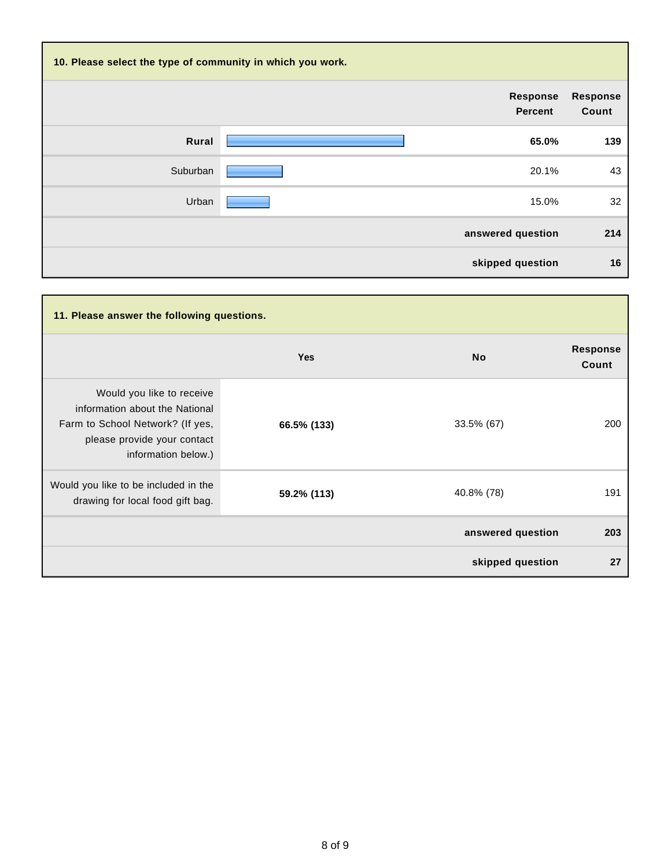| 10. Please select the type of community in which you work. |                                   |                          |  |  |
|------------------------------------------------------------|-----------------------------------|--------------------------|--|--|
|                                                            | <b>Response</b><br><b>Percent</b> | <b>Response</b><br>Count |  |  |
| Rural                                                      | 65.0%                             | 139                      |  |  |
| Suburban                                                   | 20.1%                             | 43                       |  |  |
| Urban                                                      | 15.0%                             | 32                       |  |  |
|                                                            | answered question                 | 214                      |  |  |
|                                                            | skipped question                  | 16                       |  |  |

| 11. Please answer the following questions.                                                                                                            |             |                   |                          |  |
|-------------------------------------------------------------------------------------------------------------------------------------------------------|-------------|-------------------|--------------------------|--|
|                                                                                                                                                       | <b>Yes</b>  | <b>No</b>         | <b>Response</b><br>Count |  |
| Would you like to receive<br>information about the National<br>Farm to School Network? (If yes,<br>please provide your contact<br>information below.) | 66.5% (133) | 33.5% (67)        | 200                      |  |
| Would you like to be included in the<br>drawing for local food gift bag.                                                                              | 59.2% (113) | 40.8% (78)        | 191                      |  |
|                                                                                                                                                       |             | answered question | 203                      |  |
|                                                                                                                                                       |             | skipped question  | 27                       |  |